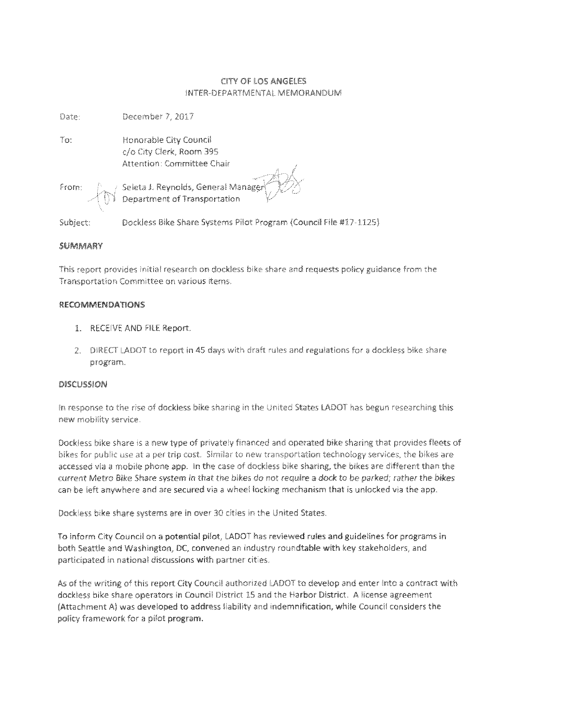### CITY Of LOS ANGELES INTER-DEPARTMENTAL MEMORANDUM

Date: December 7, 2017 Honorable City Council c/o Oty Clerk, Room 395 Attention: Committee Chair To: Seleta J. Reynolds, General Manage Department of Transportation From:

Subject: Dockiess Bike Share Systems Pilot Program {Council Fife #17-1125)

#### *SUMMAm*

This report provides initial research on dockless bike share and requests policy guidance from the Transportation Committee on various items.

#### RECOMMENDATIONS

- 1. RECEIVE AND FILE Report.
- 2. DIRECT LADOT to report in 45 days with draft rules and regulations for <sup>a</sup> dockless bike share program.

#### DISCUSSION

In response to the rise of dockless bike sharing in the United States LADOT has begun researching this new mobility service.

Dockiess bike share is a new type of privately financed and operated bike sharing that provides fleets of bikes for public use at a per trip cost. Similar to new transportation technology services, the bikes are accessed via a mobile phone app. in the case of dockiess bike sharing, the bikes are different than the current Metro *Bike Share system in that the bikes do not require* a *dock to be parked; rather* the *bikes* can be left anywhere and are secured via <sup>a</sup> wheel locking mechanism that is unlocked via the app.

Dockiess bike share systems are in over 30 cities *in* the United States.

To inform City Council on a potential pilot, LADOT has reviewed rules and guidelines for programs in both Seattle and Washington, DC, convened an industry roundtable with key stakeholders, and participated in national discussions with partner cities.

As of the writing *of*this report City Council authorized LADOT to develop and enter into a contract with dockiess bike share operators in Council District 15 and the Harbor District. A license agreement (Attachment A) was developed to address liability and indemnification, while Council considers the policy framework for a pilot program.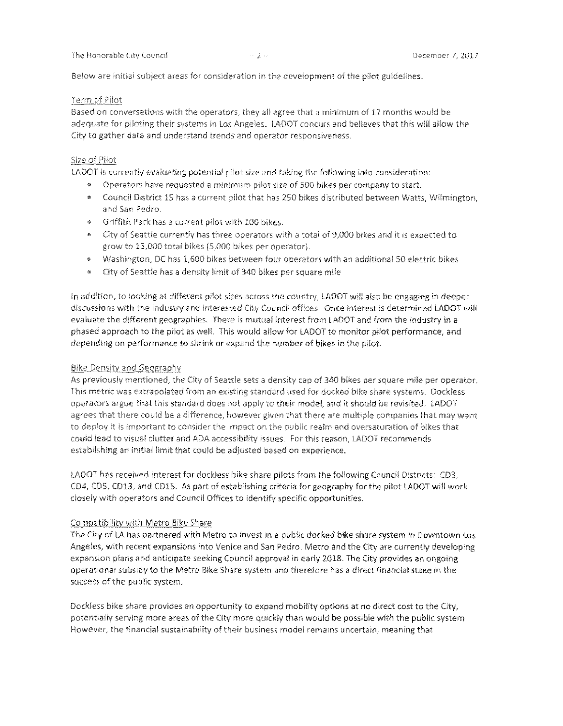Below are initial subject areas for consideration in the development; *of*the pilot guidelines.

#### Term of Pilot

Based on conversations with the operators, they all agree that <sup>a</sup> minimum of 12 months would be adequate for piloting their systems in Los Angeles. LADOT concurs and believes that this wifi allow the City to gather data and understand trends and operator responsiveness.

#### Size of Pilot

LADOT is currently evaluating potential pilot size and taking the following into consideration:

- \* Operators have requested <sup>a</sup> minimum pilot size of 500 bikes per company to start.
- \* Council District 15 has a current pilot that has 250 bikes distributed between Watts, Wilmington, and San Pedro.
- « Griffith Park has a current pilot with 100 bikes.
- \* City of Seattle currently has three operators with <sup>a</sup> total of 9,000 bikes and it is expected to grow to 15,000 total bikes (5,000 bikes per operator).
- \* Washington, DC has 1,600 bikes between four operators with an additional 50 electric bikes
- \* City of Seattle has <sup>a</sup> density limit of 340 bikes per square mile

in addition, to looking at different pilot sizes across the country, LADOT will also be engaging in deeper discussions with the industry and interested City Council offices. Once interest is determined LADOT will evaluate the different geographies. There is mutual interest from LADOT and from the industry in <sup>a</sup> phased approach to the pilot as well. This would allow for LADOT to monitor pilot performance, and depending on performance to shrink or expand the number of bikes in the pilot.

#### Bike Density and Geography

As previously mentioned, the City of Seattle sets a density cap of 340 bikes per square mite per operator. This metric was extrapolated from an existing standard used for docked bike share systems. Dockiess operators argue that this standard does not apply *to* their model, and it should be revisited. LADOT agrees that there could be a difference, however given that there are multiple companies that may want to deploy it is important to consider the impact on the public realm and oversaturation of bikes that could lead to visual clutter and ADA accessibility issues. For this reason, LADOT recommends establishing an initial limit that could be adjusted based on experience.

LADOT has received interest for dockiess bike share pilots from the following Council Districts: CDS, CD4, CDS, CD13, and CD15. As part of establishing criteria for geography for the pilot LADOT will work closely with operators and Council Offices to identify specific opportunities.

#### Compatibility with Metro Bike Share

The City of LA has partnered with Metro to invest in a public docked bike share system in Downtown Los Angeles, with recent expansions into Venice and San Pedro. Metro and the City are currently developing expansion plans and anticipate seeking Council approval in early 2018. The City provides an ongoing operational subsidy to the Metro Bike Share system and therefore has a direct financial stake in the success ofthe public system.

Dockiess bike share provides an opportunity to expand mobility options at no direct cost to the City, potentially serving more areas of the City more quickly than would be possible with the public system. However, the financial sustainability of their business model remains uncertain, meaning that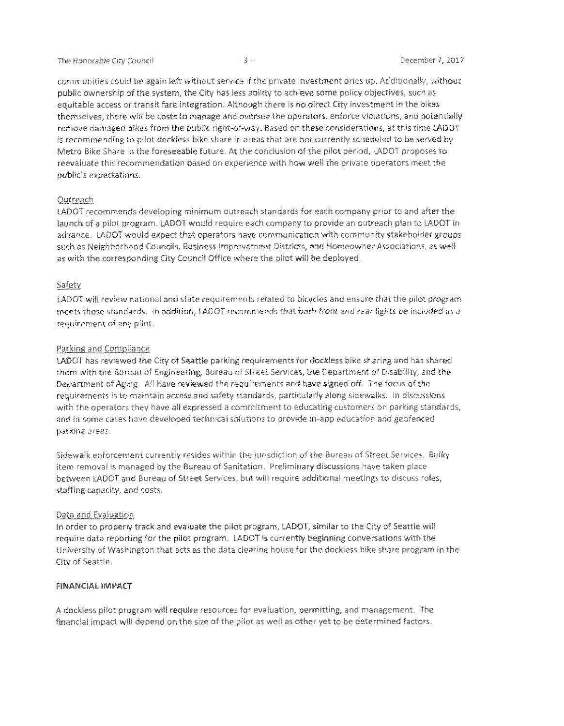communities could be again left without service if the private investment dries up.. Additionally, without public ownership of the system, the City has less ability to achieve some policy objectives, such as equitable access or transit fare integration. Although there is no direct City investment in the bikes themselves, there will be costs to manage and oversee the operators, enforce violations, and potentially remove damaged bikes from the public right-of-way. Based on these considerations, at this time LADOT is recommending to pilot dockless bike share in areas that are not currently scheduled to be served by Metro Bike Share in the foreseeable future. At the conclusion ofthe pilot period, LADOT proposes to reevaluate this recommendation based on experience with how well the private operators meet the public's expectations.

#### **Outreach**

LADOT recommends developing minimum outreach standards for each company prior to and after the launch of a pilot program. LADOT would require each company to provide an outreach plan to LADOT in advance. LADOT would expect that operators have communication with community stakeholder groups such as Neighborhood Councils, Business Improvement Districts, and Homeowner Associations, as well as with the corresponding City Council Office where the pilot will be deployed.

#### Safety

LADOT will review national and state requirements related to bicycles and ensure that the pilot program meets those standards. In addition, LADOT recommends that *both front and* rear lights *be* included *as a* requirement of any pilot.

#### Parking and Compliance

LADOT has reviewed the City of Seattle parking requirements for dockiess bike sharing and has shared them with the Bureau of Engineering, Bureau of Street Services, the Department of Disability, and the Department of Aging. AH have reviewed the requirements and have signed off. The focus ofthe requirements is to maintain access and safety standards, particularly along sidewalks. !n discussions with the operators they have all expressed a commitment to educating customers on parking standards, and in some cases have developed technical solutions to provide in-app education and geofenced parking areas.

Sidewaik enforcement currently resides within the jurisdiction of the Bureau of Street Services. Bulky item removal is managed by the Bureau of Sanitation, Preliminary discussions have taken place between LADOT and Bureau of Street Services, but wifi require additional meetings to discuss roles, staffing capacity, and costs.

#### Data and Evaluation

In order to properly track and evaluate the pilot program, LADOT, similar to the City of Seattle will require data reporting for the pilot program. LADOT is currently beginning conversations with the University of Washington that acts as the data clearing house for the dockiess bike share program in the City of Seattle.

#### FINANCIAL **IMPACT**

A dockiess pitot program will require resources for evaluation, permitting, and management. The financial impact will depend on the size of the pilot as well as other yet to be determined factors.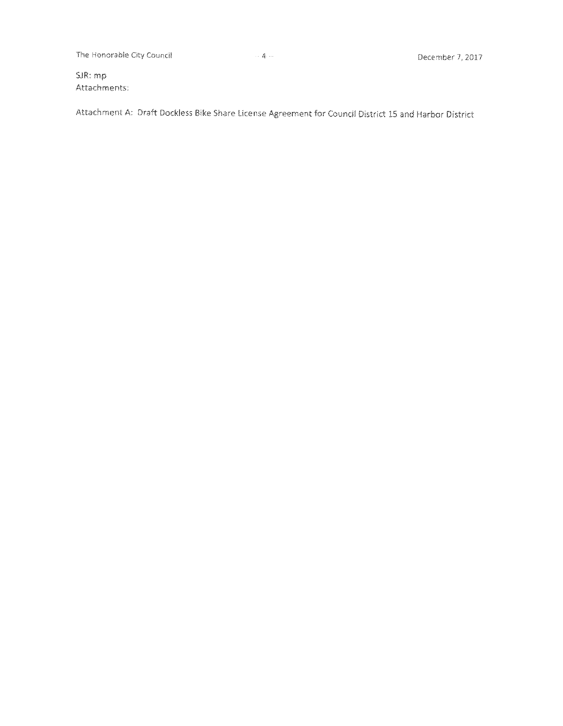The Honorable City Council **1996** Council 1996 A December 7, 2017

SJR: mp Attachments:

Attachment A: Draft Dockiess Bike Share License Agreement for Council District 15 and Harbor District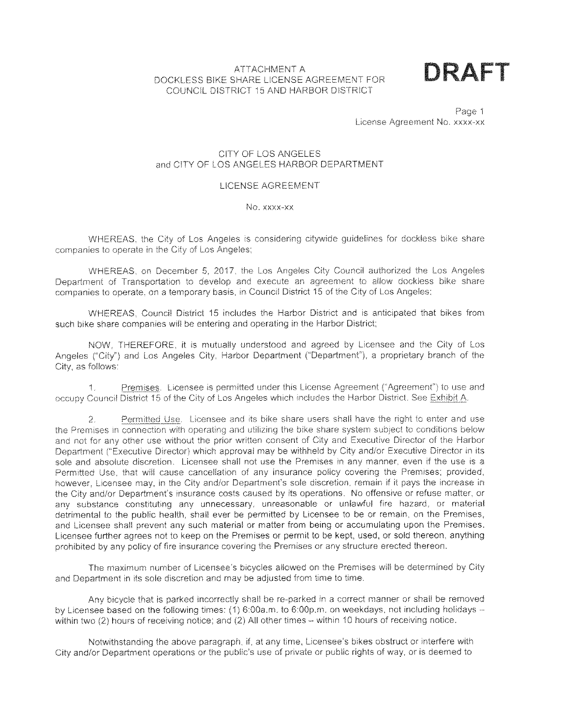### ATTACHMENT A<br>CLADE LICENSE ACREEMENT FOR **DRAFT** DOCKLESS BIKE SHARE LICENSE AGREEMENT FOR COUNCIL DISTRICT 15 AND HARBOR DISTRICT



Page 1 License Agreement No. xxxx-xx

### CITY OF LOS ANGELES and CITY OF LOS ANGELES HARBOR DEPARTMENT

#### LICENSE AGREEMENT

#### No. xxxx-xx

WHEREAS, the City of Los Angeles is considering citywide guidelines for dockiess bike share companies to operate in the City of Los Angeles;

WHEREAS, on December 5, 2017, the Los Angeles City Council authorized the Los Angeles Department of Transportation to develop and execute an agreement to allow dockiess bike share companies to operate, on a temporary basis, in Council District 15 of the City of Los Angeles;

WHEREAS, Council District 15 includes the Harbor District and is anticipated that bikes from such bike share companies will be entering and operating in the Harbor District;

NOW, THEREFORE, it is mutually understood and agreed by Licensee and the City of Los Angeles ("City") and Los Angeles City, Harbor Department ("Department"), a proprietary branch of the City, as follows:

Premises. Licensee is permitted under this License Agreement ("Agreement") to use and occupy Council District 15 of the City of Los Angeles which includes the Harbor District. See Exhibit A, 1.

Permitted Use. Licensee and its bike share users shall have the right to enter and use the Premises in connection with operating and utilizing the bike share system subject to conditions below and not for any other use without the prior written consent of City and Executive Director of the Harbor Department ("Executive Director) which approval may be withheld by City and/or Executive Director in its sole and absolute discretion. Licensee shall not use the Premises in any manner, even if the use is a Permitted Use, that will cause cancellation of any insurance policy covering the Premises; provided, however. Licensee may, in the City and/or Department's sole discretion, remain if it pays the increase in the City and/or Department's insurance costs caused by its operations. No offensive or refuse matter, or any substance constituting any unnecessary, unreasonable or unlawful fire hazard, or material detrimental to the public health, shall ever be permitted by Licensee to be or remain, on the Premises, and Licensee shall prevent any such material or matter from being or accumulating upon the Premises. Licensee further agrees not to keep on the Premises or permit to be kept, used, or sold thereon, anything prohibited by any policy offire insurance covering the Premises or any structure erected thereon. 2.

The maximum number of Licensee's bicycles allowed on the Premises will be determined by City and Department in its sole discretion and may be adjusted from time to time.

Any bicycle that is parked incorrectly shall be re-parked in a correct manner or shall be removed by Licensee based on the following times: (1) 6:00a.m, to 6:00p.m. on weekdays, not including holidays within two (2) hours of receiving notice; and (2) All other times - within 10 hours of receiving notice.

Notwithstanding the above paragraph, if, at any time, Licensee's bikes obstruct or interfere with City and/or Department operations or the public's use of private or public rights of way, or is deemed to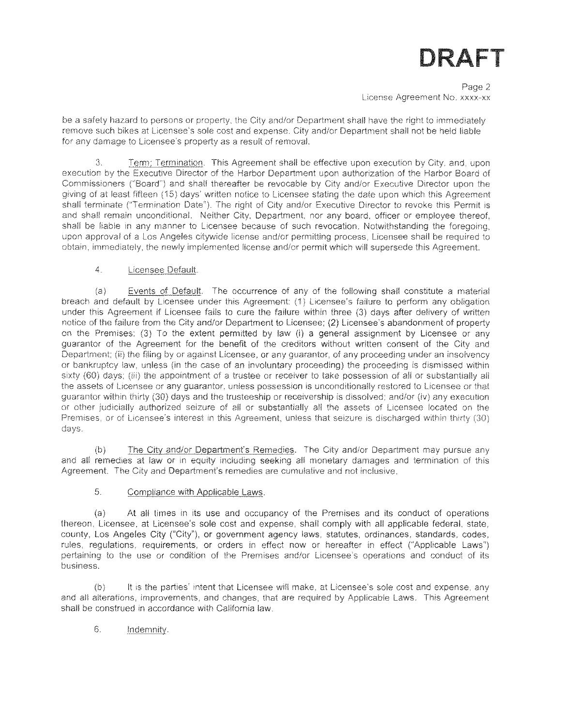Page 2 License Agreement No, xxxx-xx

be a safety hazard to persons or property, the City and/or Department shall have the right to immediately remove such bikes at Licensee's sole cost and expense. City and/or Department shall not be held liable for any damage to Licensee's property as a result of removal.

Term: Termination. This Agreement shall be effective upon execution by City, and, upon execution by the Executive Director of the Harbor Department upon authorization of the Harbor Board of Commissioners ("Board") and shall thereafter be revocable by City and/or Executive Director upon the giving of at least fifteen (15) days' written notice to Licensee stating the date upon which this Agreement shall terminate ('Termination Date"). The right of City and/or Executive Director to revoke this Permit is and shall remain unconditional. Neither City. Department, nor any board, officer or employee thereof, shall be liable in any manner to Licensee because of such revocation. Notwithstanding the foregoing, upon approval of a Los Angeles citywide license and/or permitting process. Licensee shall be required to obtain, immediately, the newly implemented license *and/or* permit which will supersede this Agreement. 3.

### 4. Licensee Default.

Events of Default. The occurrence of any of the following shall constitute a material  $(a)$ breach and default by Licensee under this Agreement: (1) Licensee's failure to perform any obligation under this Agreement if Licensee fails to cure the failure within three (3) days after delivery of written notice of the failure from the City and/or Department to Licensee; (2) Licensee's abandonment of property on the Premises; (3) To the extent permitted by law (i) a general assignment by Licensee or any guarantor of the Agreement for the benefit of the creditors without written consent of the City and Department; (ii) the filing by or against Licensee, or any guarantor, of any proceeding under an insolvency or bankruptcy law, unless (in the case of an involuntary proceeding) the proceeding is dismissed within sixty (60) days; (iii) the appointment of a trustee or receiver to take possession of all or substantially all the assets of Licensee or any guarantor, unless possession is unconditionally restored to Licensee or that guarantor within thirty (30) days and the trusteeship or receivership is dissolved; and/or (iv) any execution or other judicially authorized seizure of all or substantially *all* the assets of Licensee located on the Premises, or of Licensee's interest in this Agreement, unless that seizure is discharged within thirty (30) days.

The City and/or Department's Remedies. The City and/or Department may pursue any and all remedies at law or in equity including seeking all monetary damages and termination of this Agreement. The City and Department's remedies are cumulative and not inclusive.  $(b)$ 

#### 5. Compliance with Applicable Laws.

At all times in its use and occupancy of the Premises and its conduct of operations thereon, Licensee, at Licensee's sole cost and expense, shall comply with all applicable federal, state, county. Los Angeles City ("City"), or government agency laws, statutes, ordinances, standards, codes, rules, regulations, requirements, or orders in effect now or hereafter in effect ("Applicable Laws") pertaining to the use or condition of the Premises and/or Licensee's operations and conduct of its business. (a)

it is the parties' intent that Licensee will make, at Licensee's sole cost and expense, any and all alterations, improvements, and changes, that are required by Applicable Laws. This Agreement shall be construed in accordance with California law. (b)

### 6. Indemnity.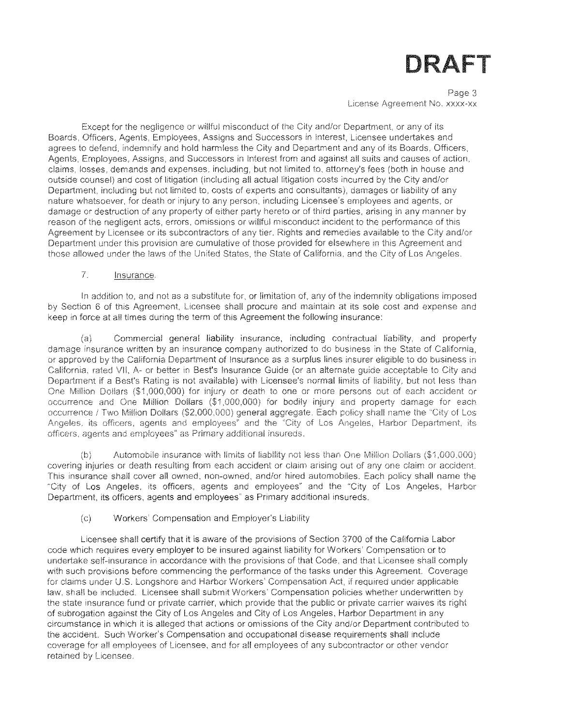Page 3 License Agreement No. xxxx-xx

Except for the negligence or willful misconduct of the City and/or Department, or any of its Boards, Officers. Agents, Employees, Assigns and Successors in Interest, Licensee undertakes and agrees to defend, indemnify and hold harmless the City and Department and any of its Boards, Officers, Agents, Employees, Assigns, and Successors in Interest from and against all suits and causes of action, claims, losses, demands and expenses, including, but not limited to, attorney's fees (both in house and outside counsel) and cost of litigation (including all actual litigation costs incurred by the City and/or Department, including but not limited to, costs of experts and consultants), damages or liability of any nature whatsoever, for death or injury to any person, including Licensee's employees and agents, or damage or destruction of any property of either party hereto or of third parties, arising in any manner by reason of the negligent acts, errors, omissions or willful misconduct incident to the performance of this Agreement by Licensee or its subcontractors of any tier. Rights and remedies available to the City and/or Department under this provision are cumulative of those provided for elsewhere in this Agreement and those allowed under the laws of the United States, the State of California, and the City of Los Angeles.

#### 7. insurance.

In addition to, and not as a substitute for, or limitation of, any of the indemnity obligations imposed by Section 6 of this Agreement, Licensee shall procure and maintain at its sole cost and expense and keep in force at all times during the term of this Agreement the following insurance:

Commercial general liability insurance, including contractual liability, and property damage insurance written by an insurance company authorized to do business in the State of California, or approved by the California Department of Insurance as a surplus lines insurer eligible to do business in California, rated VII, A- or better in Best's Insurance Guide (or an alternate guide acceptable to City and Department if a Best's Rating is not available) with Licensee's normal limits of liability, but not less than One Million Dollars (\$1,000,000) for injury or death to one or more persons out of each accident or occurrence and One Million Dollars (\$1,000,000) for bodily injury and property damage for each occurrence / Two Million Dollars (\$2,000,000) general aggregate. Each policy shall name the ''City of Los Angeles, its officers, agents and employees'' and the "City of Los Angeles, Harbor Department, its officers, agents and employees" as Primary additional insureds. (a)

Automobile insurance with limits of liability not less than One Million Dollars (\$1,000,000) covering injuries or death resulting from each accident or claim arising out of any one claim or accident. This insurance shall cover all owned, non-owned. and/or hired automobiles. Each policy shall name the "City of Los Angeles, its officers, agents and employees" and the "City of Los Angeles, Harbor Department, its officers, agents and employees" as Primary additional insureds.  $(b)$ 

#### (c) Workers' Compensation and Employer's Liability

Licensee shall certify that it is aware of the provisions of Section 3700 of the California Labor code which requires every employer to be insured against liability for Workers' Compensation or to undertake self-insurance in accordance with the provisions of that Code, and that Licensee shall comply with such provisions before commencing the performance of the tasks under this Agreement, Coverage for claims under U.S. Longshore and Harbor Workers' Compensation Act, if required under applicable law, shall be included. Licensee shall submit Workers' Compensation policies whether underwritten by the state insurance fund or private carrier, which provide that the public or private carrier waives its right of subrogation against the City of Los Angeles and City of Los Angeles, Harbor Department in any circumstance in which it is alleged that actions or omissions of the City and/or Department contributed to the accident. Such Worker's Compensation and occupational disease requirements shall include coverage for all employees of Licensee, and for all employees of any subcontractor or other vendor retained by Licensee.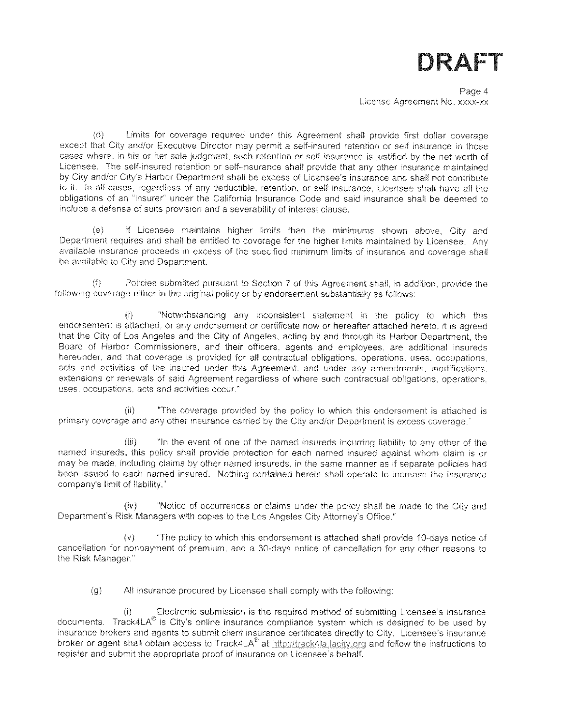

Page 4 License Agreement No. xxxx-xx

(d) Limits for coverage required under this Agreement shall provide first dollar coverage except that City and/or Executive Director may permit a self-insured retention or seif insurance in those cases where, in his or her sole judgment, such retention or self insurance is justified by the net worth of Licensee, The self-insured retention or self-insurance shall provide that any other insurance maintained by City and/or City's Harbor Department shall be excess of Licensee's insurance and shall not contribute to it. In all cases, regardless of any deductible, retention, or self insurance, Licensee shall have all the obligations of an "insurer' under the California Insurance Code and said insurance shall be deemed to include a defense of suits provision and a severability of interest clause.

If Licensee maintains higher limits than the minimums shown above. City and Department requires and shall be entitled to coverage for the higher limits maintained by Licensee. Any available insurance proceeds in excess of the specified minimum limits of insurance and coverage shall be available to City and Department. (e)

(f) Policies submitted pursuant to Section 7 of this Agreement shall, in addition, provide the following coverage either in the original policy or by endorsement substantially as follows:

(i) "Notwithstanding any inconsistent statement in the policy to which this endorsement is attached, or any endorsement or certificate now or hereafter attached hereto, it is agreed that the City of Los Angeles and the City of Angeles, acting by and through its Harbor Department, the Board of Harbor Commissioners, and their officers, agents and employees, are additional insureds hereunder, and that coverage is provided for all contractual obligations, operations, uses, occupations, acts and activities of the insured under this Agreement, and under any amendments, modifications, extensions or renewals of said Agreement regardless of where such contractual obligations, operations, uses, occupations, acts and activities occur. "

'The coverage provided by the policy to which this endorsement is attached is primary coverage and any other insurance carried by the City and/or Department is excess coverage."  $\{ii\}$ 

In the event of one of the named insureds incurring liability to any other of the named insureds, this policy shall provide protection for each named insured against whom claim is or may be made, including claims by other named insureds, in the same manner as if separate policies had been issued to each named insured. Nothing contained herein shall operate to increase the insurance company's limit of liability."  $(\mathbb{R})$ 

(iv) "Notice of occurrences or claims under the policy shall be made to the City and Department's Risk Managers with copies to the Los Angeles City Attorney's Office,"

The policy to which this endorsement is attached shall provide 10-days notice of cancellation for nonpayment of premium, and a 30-days notice of cancellation for any other reasons to the Risk Manager." (v)

(g) All insurance procured by Licensee shall comply with the following:

Electronic submission is the required method of submitting Licensee's insurance documents. Track4LA® is City's online insurance compliance system which is designed to be used by insurance brokers and agents to submit client insurance certificates directly to City, Licensee's insurance broker or agent shall obtain access to Track4LA $^{\circ}$  at http://track4la.lacity.org and follow the instructions to register and submit the appropriate proof of insurance on Licensee's behalf.  $(i)$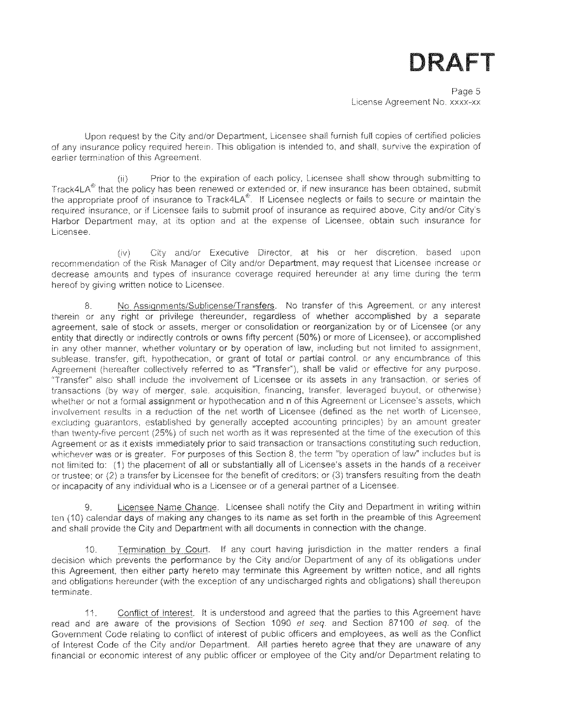Page 5 License Agreement No. xxxx-xx

Upon request by the City and/or Department, Licensee shall furnish full copies of certified policies of any insurance policy required herein. This obligation is intended to, and shall, survive the expiration of earlier termination of this Agreement.

Prior to the expiration of each policy. Licensee shall show through submitting to Track4LA $^{\circ}$  that the policy has been renewed or extended or, if new insurance has been obtained, submit the appropriate proof of insurance to Track4LA<sup>®</sup>. If Licensee neglects or fails to secure or maintain the required insurance, or if Licensee fails to submit proof of insurance as required above, City and/or City's Harbor Department may, at its option and at the expense of Licensee, obtain such insurance for Licensee.  $(ii)$ 

City and/or Executive Director, at his or her discretion, based upon recommendation of the Risk Manager of City and/or Department, may request that Licensee increase or decrease amounts and types of insurance coverage required hereunder at any time during the term hereof by giving written notice to Licensee. (IV)

No Assiqnments/Sublicense/Transfers. No transfer of this Agreement, or any interest therein or any right or privilege thereunder, regardless of whether accomplished by a separate agreement, sale of stock or assets, merger or consolidation or reorganization by or of Licensee (or any entity that directly or indirectly controls or owns fifty percent (50%) or more of Licensee), or accomplished in any other manner, whether voluntary or by operation of law, including but not limited to assignment, sublease, transfer, gift, hypothecation, or grant of total or partial control, or any encumbrance of this Agreement (hereafter collectively referred to as 'Transfer"), shall be valid or effective for any purpose. Transfer also shall include the Involvement of Licensee or its assets in any transaction, or series of transactions (by way of merger, sale, acquisition, financing, transfer, leveraged buyout, or otherwise) whether or not a formal assignment or hypothecation and n of this Agreement or Licensee's assets, which involvement results in a reduction of the net worth of Licensee (defined as the net worth of Licensee, excluding guarantors, established by generally accepted accounting principles) by an amount greater than twenty-five percent (25%) of such net worth as it was represented at the time of the execution of this Agreement or as if exists immediately prior to said transaction or transactions constituting such reduction, whichever was or is greater. For purposes of this Section 8, the term "by operation of law" includes but is not limited to: (1) the placement of all or substantially ail of Licensee's assets in the hands of a receiver or trustee; or (2) a transfer by Licensee for the benefit of creditors: or (3) transfers resulting from the death or incapacity of any individual who is a Licensee or of a general partner of a Licensee. 8.

Licensee Name Change. Licensee shall notify the City and Department in writing within ten (10) calendar days of making any changes to its name as set forth in the preamble of this Agreement and shall provide the City and Department with all documents in connection with the change. 9.

Termination by Court. If any court having jurisdiction in the matter renders a final decision which prevents the performance by the City and/or Department of any of its obligations under this Agreement, then either party hereto may terminate this Agreement by written notice, and all rights and obligations hereunder (with the exception of any undischarged rights and obligations) shall thereupon terminate. 10.

Conflict of Interest. It is understood and agreed that the parties to this Agreement have read and are aware of the provisions of Section 1090 *et seq*. and Section 87100 *et seq.* of the Government Code relating to conflict of interest of public officers and employees, as well as the Conflict of Interest Code of the City and/or Department. All parties hereto agree that they are unaware of any financial or economic interest of any public officer or employee of the City and/or Department relating to 11.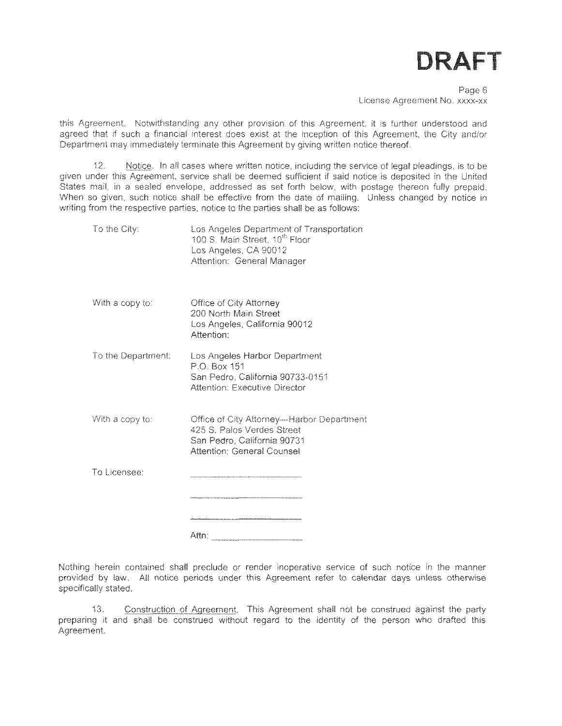Page 6 License Agreement No. xxxx-xx

this Agreement. Notwithstanding any other provision of this Agreement, it is further understood and agreed that if such a financial interest does exist at the inception of this Agreement, the City and/or Department may immediately terminate this Agreement by giving written notice thereof.

12. Notice, in ail cases where written notice, including the service of legal pleadings, is to be given under this Agreement, service shall be deemed sufficient if said notice is deposited in the United States mail, in a sealed envelope, addressed as set forth below, with postage thereon fully prepaid. When so given, such notice shall be effective from the date of mailing. Unless changed by notice in writing from the respective parties, notice to the parties shall be as follows:

| To the City:       | Los Angeles Department of Transportation<br>100 S. Main Street, 10 <sup>th</sup> Floor<br>Los Angeles, CA 90012<br>Attention: General Manager |
|--------------------|-----------------------------------------------------------------------------------------------------------------------------------------------|
| With a copy to:    | Office of City Attorney<br>200 North Main Street<br>Los Angeles, California 90012<br>Attention <sup>-</sup>                                   |
| To the Department: | Los Angeles Harbor Department<br>P.O. Box 151<br>San Pedro, California 90733-0151<br>Attention: Executive Director                            |
| With a copy to:    | Office of City Attorney--Harbor Department<br>425 S. Palos Verdes Street<br>San Pedro, California 90731<br><b>Attention: General Counsel</b>  |
| To Licensee:       |                                                                                                                                               |
|                    | Attn:                                                                                                                                         |

Nothing herein contained shall preclude or render inoperative service of such notice in the manner provided by law. All notice periods under this Agreement refer to calendar days unless otherwise specifically stated.

Construction of Agreement. This Agreement shall not be construed against the party preparing it and shall be construed without regard to the identity of the person who drafted this Agreement. 13.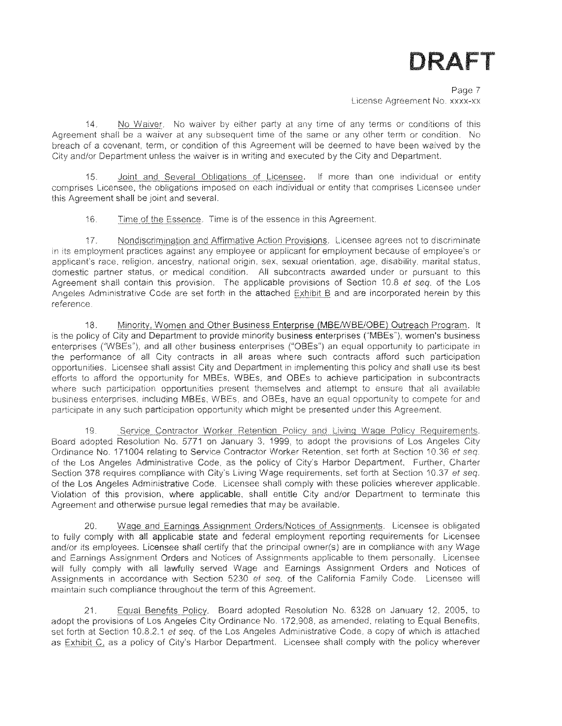Page 7 License Agreement No. xxxx-xx

No Waiver, No waiver by either party at any time of any terms or conditions of this Agreement shall be a waiver at any subsequent time of the same or any other term or condition. No breach of a covenant, term, or condition of this Agreement wiii be deemed to have been waived by the City and/or Department unless the waiver is in writing and executed by the City and Department. 14.

15. Joint and Several Obligations of Licensee. If more than one individual or entity comprises Licensee, the obligations imposed on each individual or entity that comprises Licensee under this Agreement shall be joint and several.

16. Time of the Essence. Time is of the essence in this Agreement.

Nondiscrimination and Affirmative Action Provisions. Licensee agrees not to discriminate in its employment practices against any employee or applicant for employment because of employee's or applicant's race, religion, ancestry, national origin, sex, sexual orientation, age, disability, marital status, domestic partner status, or medical condition. All subcontracts awarded under or pursuant to this Agreement shall contain this provision. The applicable provisions of Section 10.8 *et seq.* of the Los Angeles Administrative Code are set forth in the attached Exhibit B and are incorporated herein by this reference. 17.

Minority. Women and Other Business Enterprise (MBE/WBE/OBE) Outreach Program, it is the policy of City and Department to provide minority business enterprises ("MBEs"), women's business enterprises ("WBEs"), and all other business enterprises ("OBEs") an equal opportunity to participate in the performance of all City contracts in ail areas where such contracts afford such participation opportunities. Licensee shall assist City and Department in implementing this policy and shall use its best efforts to afford the opportunity for MBEs, WBEs, and OBEs to achieve participation in subcontracts where such participation opportunities present themselves and attempt to ensure that all available business enterprises, including MBEs, WBEs, and OBEs, have an equal opportunity to compete for and participate in any such participation opportunity which might be presented under this Agreement. 18.

Service Contractor Worker Retention Policy and Living Wage Policy Requirements. Board adopted Resolution No. 5771 on January 3, 1999, to adopt the provisions of Los Angeles City Ordinance No. 171004 relating to Service Contractor Worker Retention, set forth at Section 10.36 *et seq.* of the Los Angeles Administrative Code, as the policy of City's Harbor Department. Further, Charter Section 378 requires compliance with City's Living Wage requirements, set forth at Section 10.37 *et seq.* of the Los Angeles Administrative Code. Licensee shall comply with these policies wherever applicable. Violation of this provision, where applicable, shall entitle City and/or Department to terminate this Agreement and otherwise pursue legal remedies that may be available. 19.

Wage and Earnings Assignment Orders/Notices of Assignments. Licensee is obligated to fully comply with all applicable state and federal employment reporting requirements for Licensee and/or its employees. Licensee shall certify that the principal owner(s) are in compliance with any Wage and Earnings Assignment Orders and Notices of Assignments applicable to them personally. Licensee will fully comply with ail lawfully served Wage and Earnings Assignment Orders and Notices of Assignments in accordance with Section 5230 *et seq.* of the California Family Code. Licensee will maintain such compliance throughout the term of this Agreement. 20.

Equal Benefits Policy. Board adopted Resolution No. 6328 on January 12, 2005, to adopt the provisions of Los Angeles City Ordinance No. 172,908, as amended, relating to Equal Benefits, set forth at Section 10.8.2.1 *et seq.* of the Los Angeles Administrative Code, a copy of which is attached as Exhibit C, as a policy of City's Harbor Department. Licensee shall comply with the policy wherever 21.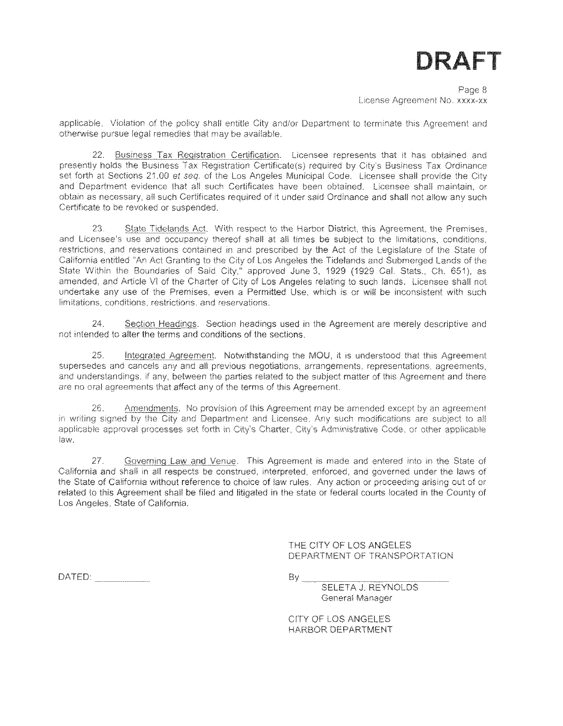Page 8 License Agreement No. xxxx-xx

applicable. Violation of the policy shall entitle City and/or Department to terminate this Agreement and otherwise pursue legal remedies that may be available.

22. Business Tax Registration Certification. Licensee represents that it has obtained and presently holds the Business Tax Registration Certificate(s) required by City's Business Tax Ordinance set forth at Sections 21.00 *et seq.* of the Los Angeles Municipal Code. Licensee shall provide the City and Department evidence that all such Certificates have been obtained. Licensee shall maintain, or obtain as necessary, all such Certificates required of it under said Ordinance and shall not allow any such Certificate to be revoked or suspended.

State Tidelands Act. With respect to the Harbor District, this Agreement, the Premises, and Licensee's use and occupancy thereof shall at all times be subject to the limitations, conditions, restrictions, and reservations contained in and prescribed by the Act of the Legislature of the State of California entitled "An Act Granting to the City of Los Angeles the Tidelands and Submerged Lands of the State Within the Boundaries of Said City," approved June 3. 1929 (1929 Cal. Stats., Ch. 651), as amended, and Article VI of the Charter of City of Los Angeles relating to such lands. Licensee shall not undertake any use of the Premises, even a Permitted Use, which is or will be inconsistent with such limitations, conditions, restrictions, and reservations. 23.

Section Headings. Section headings used in the Agreement are merely descriptive and not intended to alter the terms and conditions of the sections. 24.

Integrated Agreement. Notwithstanding the MGU, it is understood that this Agreement supersedes and cancels any and all previous negotiations, arrangements, representations, agreements, and understandings, if any, between the parties related to the subject matter of this Agreement and there are no oral agreements that affect any of the terms of this Agreement. 25.

Amendments. No provision of this Agreement may be amended except by an agreement in writing signed by the City and Department and Licensee. Any such modifications are subject to all applicable approval processes set forth in City's Charter, City's Administrative Code, or other applicable law, 26.

Governing Law and Venue. This Agreement is made and entered into in the State of California and shall in all respects be construed, interpreted, enforced, and governed under the laws of the State of California without reference to choice of law rules. Any action or proceeding arising out of or related to this Agreement shall be filed and litigated in the state or federal courts located in the County of Los Angeles, State of California. 27.

> THE CITY OF LOS ANGELES DEPARTMENT OF TRANSPORTATION

 $DA\text{TED:}$  By  $\qquad \qquad \text{By}$ 

SELETA J. REYNOLDS General Manager

CITY OF LOS ANGELES HARBOR DEPARTMENT